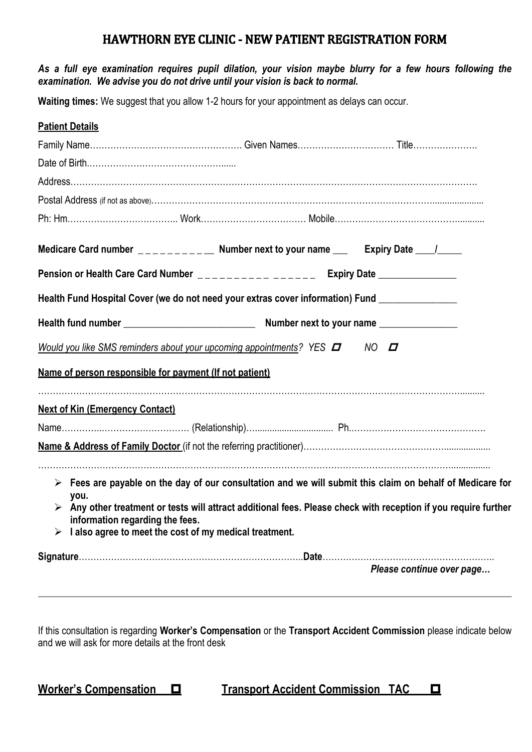## **HAWTHORN EYE CLINIC - NEW PATIENT REGISTRATION FORM**

## *As a full eye examination requires pupil dilation, your vision maybe blurry for a few hours following the examination. We advise you do not drive until your vision is back to normal.*

**Waiting times:** We suggest that you allow 1-2 hours for your appointment as delays can occur.

| <b>Patient Details</b>                                                                            |                                                                                                                                                                                                                                                            |                           |
|---------------------------------------------------------------------------------------------------|------------------------------------------------------------------------------------------------------------------------------------------------------------------------------------------------------------------------------------------------------------|---------------------------|
|                                                                                                   |                                                                                                                                                                                                                                                            |                           |
|                                                                                                   |                                                                                                                                                                                                                                                            |                           |
|                                                                                                   |                                                                                                                                                                                                                                                            |                           |
|                                                                                                   |                                                                                                                                                                                                                                                            |                           |
|                                                                                                   |                                                                                                                                                                                                                                                            |                           |
|                                                                                                   | Medicare Card number __________ Number next to your name ___ Expiry Date ___/___                                                                                                                                                                           |                           |
|                                                                                                   | Pension or Health Care Card Number ____________________ Expiry Date ____________                                                                                                                                                                           |                           |
|                                                                                                   | Health Fund Hospital Cover (we do not need your extras cover information) Fund _______________                                                                                                                                                             |                           |
|                                                                                                   |                                                                                                                                                                                                                                                            |                           |
|                                                                                                   | Would you like SMS reminders about your upcoming appointments? YES $\Box$ NO $\Box$                                                                                                                                                                        |                           |
| Name of person responsible for payment (If not patient)                                           |                                                                                                                                                                                                                                                            |                           |
| <b>Next of Kin (Emergency Contact)</b>                                                            |                                                                                                                                                                                                                                                            |                           |
|                                                                                                   |                                                                                                                                                                                                                                                            |                           |
|                                                                                                   |                                                                                                                                                                                                                                                            |                           |
| you.<br>information regarding the fees.<br>I also agree to meet the cost of my medical treatment. | $\triangleright$ Fees are payable on the day of our consultation and we will submit this claim on behalf of Medicare for<br>$\triangleright$ Any other treatment or tests will attract additional fees. Please check with reception if you require further |                           |
|                                                                                                   |                                                                                                                                                                                                                                                            | Please continue over page |
|                                                                                                   |                                                                                                                                                                                                                                                            |                           |

If this consultation is regarding **Worker's Compensation** or the **Transport Accident Commission** please indicate below and we will ask for more details at the front desk

**Worker's Compensation □ Transport Accident Commission TAC □**